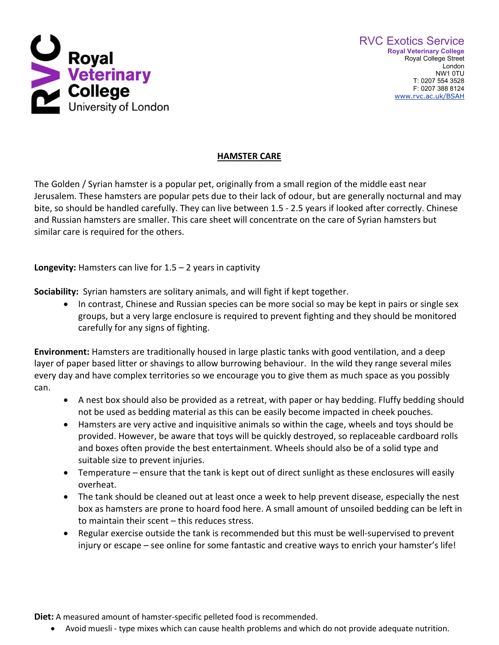

## **HAMSTER CARE**

The Golden / Syrian hamster is a popular pet, originally from a small region of the middle east near Jerusalem. These hamsters are popular pets due to their lack of odour, but are generally nocturnal and may bite, so should be handled carefully. They can live between 1.5 - 2.5 years if looked after correctly. Chinese and Russian hamsters are smaller. This care sheet will concentrate on the care of Syrian hamsters but similar care is required for the others.

**Longevity:** Hamsters can live for 1.5 – 2 years in captivity

**Sociability:** Syrian hamsters are solitary animals, and will fight if kept together.

• In contrast, Chinese and Russian species can be more social so may be kept in pairs or single sex groups, but a very large enclosure is required to prevent fighting and they should be monitored carefully for any signs of fighting.

**Environment:** Hamsters are traditionally housed in large plastic tanks with good ventilation, and a deep layer of paper based litter or shavings to allow burrowing behaviour. In the wild they range several miles every day and have complex territories so we encourage you to give them as much space as you possibly can.

- A nest box should also be provided as a retreat, with paper or hay bedding. Fluffy bedding should not be used as bedding material as this can be easily become impacted in cheek pouches.
- Hamsters are very active and inquisitive animals so within the cage, wheels and toys should be provided. However, be aware that toys will be quickly destroyed, so replaceable cardboard rolls and boxes often provide the best entertainment. Wheels should also be of a solid type and suitable size to prevent injuries.
- Temperature ensure that the tank is kept out of direct sunlight as these enclosures will easily overheat.
- The tank should be cleaned out at least once a week to help prevent disease, especially the nest box as hamsters are prone to hoard food here. A small amount of unsoiled bedding can be left in to maintain their scent – this reduces stress.
- Regular exercise outside the tank is recommended but this must be well-supervised to prevent injury or escape – see online for some fantastic and creative ways to enrich your hamster's life!

**Diet:** A measured amount of hamster-specific pelleted food is recommended.

• Avoid muesli - type mixes which can cause health problems and which do not provide adequate nutrition.